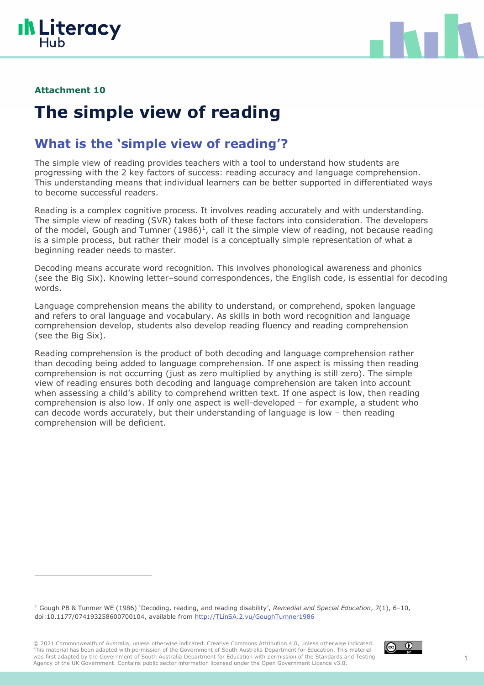



#### **Attachment 10**

# **The simple view of reading**

## **What is the 'simple view of reading'?**

The simple view of reading provides teachers with a tool to understand how students are progressing with the 2 key factors of success: reading accuracy and language comprehension. This understanding means that individual learners can be better supported in differentiated ways to become successful readers.

Reading is a complex cognitive process. It involves reading accurately and with understanding. The simple view of reading (SVR) takes both of these factors into consideration. The developers of the model, Gough and Tumner  $(1986)^1$ , call it the simple view of reading, not because reading is a simple process, but rather their model is a conceptually simple representation of what a beginning reader needs to master.

Decoding means accurate word recognition. This involves phonological awareness and phonics (see the Big Six). Knowing letter–sound correspondences, the English code, is essential for decoding words.

Language comprehension means the ability to understand, or comprehend, spoken language and refers to oral language and vocabulary. As skills in both word recognition and language comprehension develop, students also develop reading fluency and reading comprehension (see the Big Six).

Reading comprehension is the product of both decoding and language comprehension rather than decoding being added to language comprehension. If one aspect is missing then reading comprehension is not occurring (just as zero multiplied by anything is still zero). The simple view of reading ensures both decoding and language comprehension are taken into account when assessing a child's ability to comprehend written text. If one aspect is low, then reading comprehension is also low. If only one aspect is well-developed – for example, a student who can decode words accurately, but their understanding of language is low – then reading comprehension will be deficient.

<sup>1</sup> Gough PB & Tunmer WE (1986) 'Decoding, reading, and reading disability', *Remedial and Special Education*, 7(1), 6–10, doi:10.1177/074193258600700104, available from [http://TLinSA.2.vu/GoughTumner1986](http://tlinsa.2.vu/GoughTumner1986)

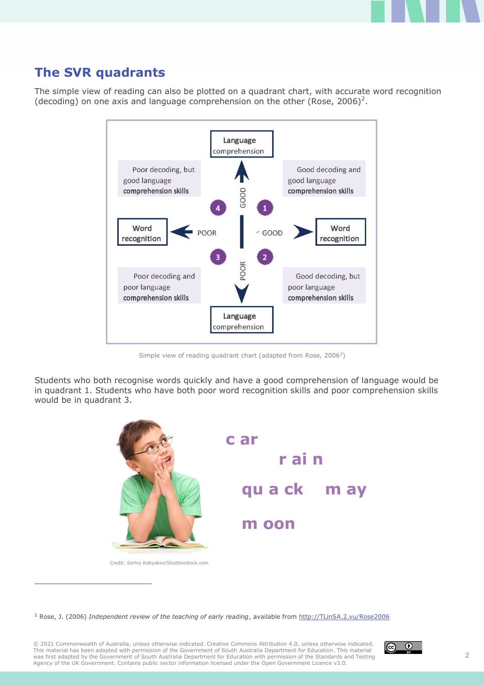## **The SVR quadrants**

The simple view of reading can also be plotted on a quadrant chart, with accurate word recognition (decoding) on one axis and language comprehension on the other (Rose, 2006)<sup>2</sup>.



Simple view of reading quadrant chart (adapted from Rose, 2006<sup>2</sup>)

Students who both recognise words quickly and have a good comprehension of language would be in quadrant 1. Students who have both poor word recognition skills and poor comprehension skills would be in quadrant 3.



Credit: Serhiy Kobyakov[/Shuttterstock.com](http://shuttterstock.com/)

<sup>2</sup> Rose, J. (2006) *Independent review of the teaching of early reading*, available from [http://TLinSA.2.vu/Rose2006](http://tlinsa.2.vu/Rose2006)

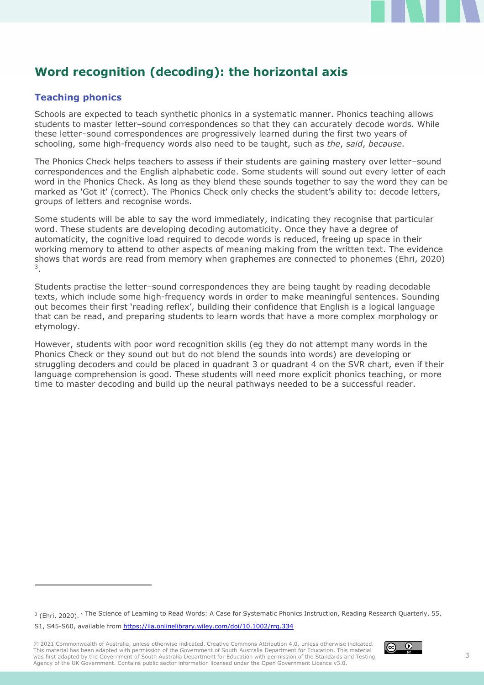## **Word recognition (decoding): the horizontal axis**

### **Teaching phonics**

Schools are expected to teach synthetic phonics in a systematic manner. Phonics teaching allows students to master letter–sound correspondences so that they can accurately decode words. While these letter–sound correspondences are progressively learned during the first two years of schooling, some high-frequency words also need to be taught, such as *the*, *said*, *because*.

The Phonics Check helps teachers to assess if their students are gaining mastery over letter–sound correspondences and the English alphabetic code. Some students will sound out every letter of each word in the Phonics Check. As long as they blend these sounds together to say the word they can be marked as 'Got it' (correct). The Phonics Check only checks the student's ability to: decode letters, groups of letters and recognise words.

Some students will be able to say the word immediately, indicating they recognise that particular word. These students are developing decoding automaticity. Once they have a degree of automaticity, the cognitive load required to decode words is reduced, freeing up space in their working memory to attend to other aspects of meaning making from the written text. The evidence shows that words are read from memory when graphemes are connected to phonemes (Ehri, 2020) 3 .

Students practise the letter–sound correspondences they are being taught by reading decodable texts, which include some high-frequency words in order to make meaningful sentences. Sounding out becomes their first 'reading reflex', building their confidence that English is a logical language that can be read, and preparing students to learn words that have a more complex morphology or etymology.

However, students with poor word recognition skills (eg they do not attempt many words in the Phonics Check or they sound out but do not blend the sounds into words) are developing or struggling decoders and could be placed in quadrant 3 or quadrant 4 on the SVR chart, even if their language comprehension is good. These students will need more explicit phonics teaching, or more time to master decoding and build up the neural pathways needed to be a successful reader.

<sup>3</sup> (Ehri, 2020). 'The Science of Learning to Read Words: A Case for Systematic Phonics Instruction, Reading Research Quarterly, 55,

S1, S45-S60, available from https://ila.onlinelibrary.wiley.com/doi/10.1002/rrq.3[34](http://tlinsa.2.vu/RAN20121)

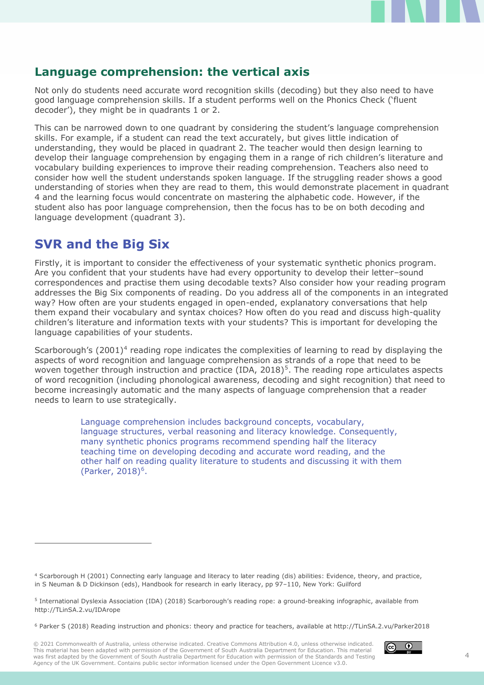## **Language comprehension: the vertical axis**

Not only do students need accurate word recognition skills (decoding) but they also need to have good language comprehension skills. If a student performs well on the Phonics Check ('fluent decoder'), they might be in quadrants 1 or 2.

This can be narrowed down to one quadrant by considering the student's language comprehension skills. For example, if a student can read the text accurately, but gives little indication of understanding, they would be placed in quadrant 2. The teacher would then design learning to develop their language comprehension by engaging them in a range of rich children's literature and vocabulary building experiences to improve their reading comprehension. Teachers also need to consider how well the student understands spoken language. If the struggling reader shows a good understanding of stories when they are read to them, this would demonstrate placement in quadrant 4 and the learning focus would concentrate on mastering the alphabetic code. However, if the student also has poor language comprehension, then the focus has to be on both decoding and language development (quadrant 3).

## **SVR and the Big Six**

Firstly, it is important to consider the effectiveness of your systematic synthetic phonics program. Are you confident that your students have had every opportunity to develop their letter–sound correspondences and practise them using decodable texts? Also consider how your reading program addresses the Big Six components of reading. Do you address all of the components in an integrated way? How often are your students engaged in open-ended, explanatory conversations that help them expand their vocabulary and syntax choices? How often do you read and discuss high-quality children's literature and information texts with your students? This is important for developing the language capabilities of your students.

Scarborough's  $(2001)^4$  reading rope indicates the complexities of learning to read by displaying the aspects of word recognition and language comprehension as strands of a rope that need to be woven together through instruction and practice (IDA, 2018)<sup>5</sup>. The reading rope articulates aspects of word recognition (including phonological awareness, decoding and sight recognition) that need to become increasingly automatic and the many aspects of language comprehension that a reader needs to learn to use strategically.

> Language comprehension includes background concepts, vocabulary, language structures, verbal reasoning and literacy knowledge. Consequently, many synthetic phonics programs recommend spending half the literacy teaching time on developing decoding and accurate word reading, and the other half on reading quality literature to students and discussing it with them  $(Parker, 2018)^6$ .



<sup>4</sup> Scarborough H (2001) Connecting early language and literacy to later reading (dis) abilities: Evidence, theory, and practice, in S Neuman & D Dickinson (eds), Handbook for research in early literacy, pp 97–110, New York: Guilford

<sup>5</sup> International Dyslexia Association (IDA) (2018) Scarborough's reading rope: a ground-breaking infographic, available from http://TLinSA.2.vu/IDArope

<sup>6</sup> Parker S (2018) Reading instruction and phonics: theory and practice for teachers, available at http://TLinSA.2.vu/Parker2018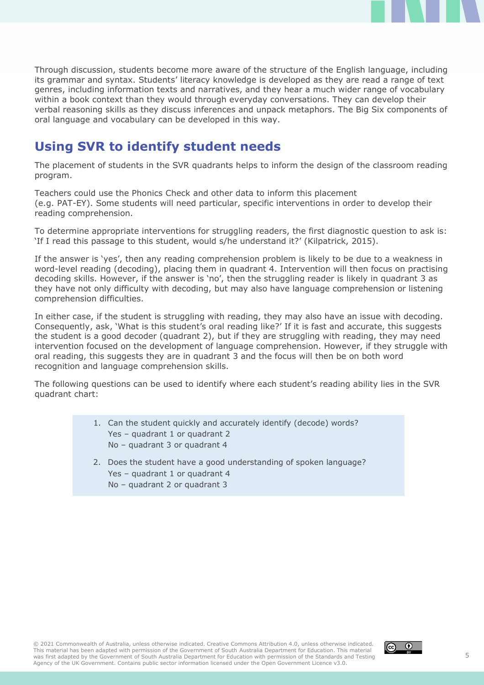Through discussion, students become more aware of the structure of the English language, including its grammar and syntax. Students' literacy knowledge is developed as they are read a range of text genres, including information texts and narratives, and they hear a much wider range of vocabulary within a book context than they would through everyday conversations. They can develop their verbal reasoning skills as they discuss inferences and unpack metaphors. The Big Six components of oral language and vocabulary can be developed in this way.

## **Using SVR to identify student needs**

The placement of students in the SVR quadrants helps to inform the design of the classroom reading program.

Teachers could use the Phonics Check and other data to inform this placement (e.g. PAT-EY). Some students will need particular, specific interventions in order to develop their reading comprehension.

To determine appropriate interventions for struggling readers, the first diagnostic question to ask is: 'If I read this passage to this student, would s/he understand it?' (Kilpatrick, 2015).

If the answer is 'yes', then any reading comprehension problem is likely to be due to a weakness in word-level reading (decoding), placing them in quadrant 4. Intervention will then focus on practising decoding skills. However, if the answer is 'no', then the struggling reader is likely in quadrant 3 as they have not only difficulty with decoding, but may also have language comprehension or listening comprehension difficulties.

In either case, if the student is struggling with reading, they may also have an issue with decoding. Consequently, ask, 'What is this student's oral reading like?' If it is fast and accurate, this suggests the student is a good decoder (quadrant 2), but if they are struggling with reading, they may need intervention focused on the development of language comprehension. However, if they struggle with oral reading, this suggests they are in quadrant 3 and the focus will then be on both word recognition and language comprehension skills.

The following questions can be used to identify where each student's reading ability lies in the SVR quadrant chart:

- 1. Can the student quickly and accurately identify (decode) words? Yes - quadrant 1 or quadrant 2 No – quadrant 3 or quadrant 4
- 2. Does the student have a good understanding of spoken language? Yes - quadrant 1 or quadrant 4 No – quadrant 2 or quadrant 3